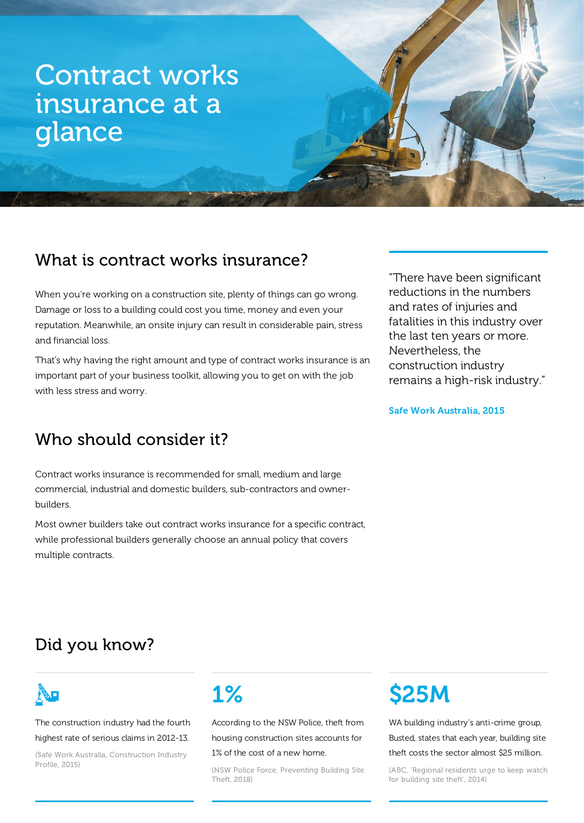# Contract works insurance at a glance

# What is contract works insurance?

When you're working on a construction site, plenty of things can go wrong. Damage or loss to a building could cost you time, money and even your reputation. Meanwhile, an onsite injury can result in considerable pain, stress and financial loss.

That's why having the right amount and type of contract works insurance is an important part of your business toolkit, allowing you to get on with the job with less stress and worry.

# Who should consider it?

Contract works insurance is recommended for small, medium and large commercial, industrial and domestic builders, sub-contractors and ownerbuilders.

Most owner builders take out contract works insurance for a specific contract, while professional builders generally choose an annual policy that covers multiple contracts.

"There have been significant reductions in the numbers and rates of injuries and fatalities in this industry over the last ten years or more. Nevertheless, the construction industry remains a high-risk industry."

#### Safe Work Australia, 2015

# Did you know?



The construction industry had the fourth highest rate of serious claims in 2012-13.

(Safe Work Australia, Construction Industry Profile, 2015)

# 1%

According to the NSW Police, theft from housing construction sites accounts for

### 1% of the cost of a new home.

(NSW Police Force, Preventing Building Site Theft, 2018)

# **S25M**

WA building industry's anti-crime group, Busted, states that each year, building site theft costs the sector almost \$25 million.

(ABC, 'Regional residents urge to keep watch for building site theft', 2014)